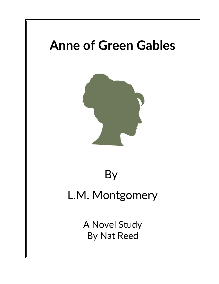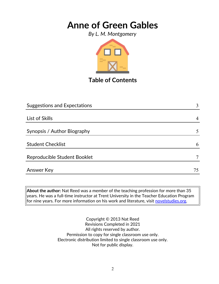*By L. M. Montgomery*



**Table of Contents**

| <b>Suggestions and Expectations</b> | 3  |
|-------------------------------------|----|
|                                     |    |
| List of Skills                      |    |
| Synopsis / Author Biography         |    |
| <b>Student Checklist</b>            | 6  |
| Reproducible Student Booklet        |    |
| Answer Key                          | 75 |

**About the author:** Nat Reed was a member of the teaching profession for more than 35 years. He was a full-time instructor at Trent University in the Teacher Education Program for nine years. For more information on his work and literature, visit [novelstudies.org.](http://www.novelstudies.org/)

> Copyright © 2013 Nat Reed Revisions Completed in 2021 All rights reserved by author. Permission to copy for single classroom use only. Electronic distribution limited to single classroom use only. Not for public display.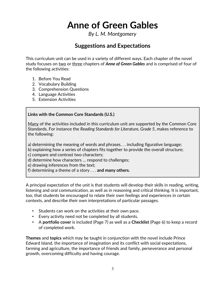*By L. M. Montgomery*

### **Suggestions and Expectations**

This curriculum unit can be used in a variety of different ways. Each chapter of the novel study focuses on two or three chapters of *Anne of Green Gables* and is comprised of four of the following activities:

- 1. Before You Read
- 2. Vocabulary Building
- 3. Comprehension Questions
- 4. Language Activities
- 5. Extension Activities

#### **Links with the Common Core Standards (U.S.)**

Many of the activities included in this curriculum unit are supported by the Common Core Standards. For instance the *Reading Standards for Literature, Grade 5*, makes reference to the following:

a) determining the meaning of words and phrases. . . including figurative language;

b) explaining how a series of chapters fits together to provide the overall structure;

c) compare and contrast two characters;

d) determine how characters … respond to challenges;

e) drawing inferences from the text;

f) determining a theme of a story . . . **and many others.**

A principal expectation of the unit is that students will develop their skills in reading, writing, listening and oral communication, as well as in reasoning and critical thinking. It is important, too, that students be encouraged to relate their own feelings and experiences in certain contexts, and describe their own interpretations of particular passages.

- Students can work on the activities at their own pace.
- Every activity need not be completed by all students.
- A **portfolio cover** is included (Page 7) as well as a **Checklist** (Page 6) to keep a record of completed work.

**Themes** and **topics** which may be taught in conjunction with the novel include Prince Edward Island, the importance of imagination and its conflict with social expectations, farming and agriculture, the importance of friends and family, perseverance and personal growth, overcoming difficulty and having courage.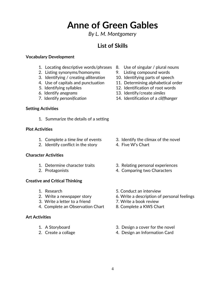#### *By L. M. Montgomery*

### **List of Skills**

#### **Vocabulary Development**

- 1. Locating descriptive words/phrases 8. Use of singular / plural nouns
- 2. Listing synonyms/homonyms 9. Listing compound words
- 3. Identifying / creating *alliteration* 10. Identifying parts of speech
- 
- 
- 
- 

#### **Setting Activities**

1. Summarize the details of a setting

#### **Plot Activities**

- 
- 2. Identify conflict in the story 4. Five W's Chart

#### **Character Activities**

- 
- 

#### **Creative and Critical Thinking**

- 
- 
- 3. Write a letter to a friend 7. Write a book review
- 4. Complete an Observation Chart 8. Complete a KWS Chart

#### **Art Activities**

- 
- 
- 
- 
- 
- 4. Use of capitals and punctuation 11. Determining alphabetical order
- 5. Identifying syllables 12. Identification of root words
- 6. Identify *anagrams* 13. Identify/create *similes*
- 7. Identify *personification* 14. Identification of a *cliffhanger*

- 1. Complete a *time line* of events 3. Identify the climax of the novel
	-
- 1. Determine character traits 3. Relating personal experiences
- 2. Protagonists 4. Comparing two Characters
- 1. Research 5. Conduct an interview
- 2. Write a newspaper story 6. Write a description of personal feelings
	-
	-
- 1. A Storyboard 3. Design a cover for the novel
- 2. Create a collage 4. Design an Information Card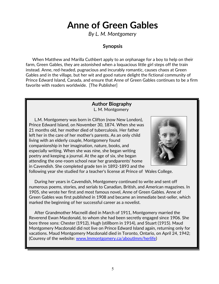*By L. M. Montgomery*

#### **Synopsis**

 When Matthew and Marilla Cuthbert apply to an orphanage for a boy to help on their farm, Green Gables, they are astonished when a loquacious little girl steps off the train instead. Anne, red-headed, pugnacious and incurably romantic, causes chaos at Green Gables and in the village, but her wit and good nature delight the fictional community of Prince Edward Island, Canada, and ensure that Anne of Green Gables continues to be a firm favorite with readers worldwide. [The Publisher]

#### **Author Biography**

L. M. Montgomery

 L.M. Montgomery was born in Clifton (now New London), Prince Edward Island, on November 30, 1874. When she was 21 months old, her mother died of tuberculosis. Her father left her in the care of her mother's parents. As an only child living with an elderly couple, Montgomery found companionship in her imagination, nature, books, and especially writing. When she was nine, she began writing poetry and keeping a journal. At the age of six, she began attending the one-room school near her grandparents' home in Cavendish. She completed grade ten in 1892-1893 and the



following year she studied for a teacher's license at Prince of Wales College.

 During her years in Cavendish, Montgomery continued to write and sent off numerous poems, stories, and serials to Canadian, British, and American magazines. In 1905, she wrote her first and most famous novel, Anne of Green Gables. Anne of Green Gables was first published in 1908 and became an immediate best-seller, which marked the beginning of her successful career as a novelist.

 After Grandmother Macneill died in March of 1911, Montgomery married the Reverend Ewan Macdonald, to whom she had been secretly engaged since 1906. She bore three sons: Chester (1912), Hugh (stillborn in 1914), and Stuart (1915). Maud Montgomery Macdonald did not live on Prince Edward Island again, returning only for vacations. Maud Montgomery Macdonald died in Toronto, Ontario, on April 24, 1942; (Couresy of the website: [www.lmmontgomery.ca/aboutlmm/herlife\)](http://www.lmmontgomery.ca/aboutlmm/herlife)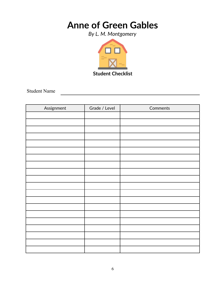*By L. M. Montgomery*



Student Name

| Assignment | Grade / Level | Comments |
|------------|---------------|----------|
|            |               |          |
|            |               |          |
|            |               |          |
|            |               |          |
|            |               |          |
|            |               |          |
|            |               |          |
|            |               |          |
|            |               |          |
|            |               |          |
|            |               |          |
|            |               |          |
|            |               |          |
|            |               |          |
|            |               |          |
|            |               |          |
|            |               |          |
|            |               |          |
|            |               |          |
|            |               |          |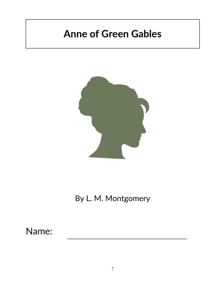

## By L. M. Montgomery

## Name: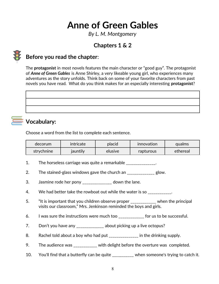*By L. M. Montgomery*

## **Chapters 1 & 2**



## **Before you read the chapter**:

The **protagonist** in most novels features the main character or "good guy". The protagonist of *Anne of Green Gables* is Anne Shirley, a very likeable young girl, who experiences many adventures as the story unfolds. Think back on some of your favorite characters from past novels you have read. What do you think makes for an especially interesting **protagonist**?

## **Vocabulary:**

Choose a word from the list to complete each sentence.

| decorum    | intricate | placid  | innovation | qualms   |
|------------|-----------|---------|------------|----------|
| strychnine | jauntily  | elusive | rapturous  | ethereal |

- 1. The horseless carriage was quite a remarkable \_\_\_\_\_\_\_\_\_\_\_\_\_\_.
- 2. The stained-glass windows gave the church an \_\_\_\_\_\_\_\_\_\_\_\_\_\_ glow.
- 3. Jasmine rode her pony \_\_\_\_\_\_\_\_\_\_\_\_\_\_\_ down the lane.
- 4. We had better take the rowboat out while the water is so
- 5. "It is important that you children observe proper \_\_\_\_\_\_\_\_\_\_\_ when the principal visits our classroom," Mrs. Jenkinson reminded the boys and girls.
- 6. I was sure the instructions were much too \_\_\_\_\_\_\_\_\_\_\_\_\_ for us to be successful.
- 7. Don't you have any \_\_\_\_\_\_\_\_\_\_\_\_\_\_ about picking up a live octopus?
- 8. Rachel told about a boy who had put \_\_\_\_\_\_\_\_\_\_\_\_\_\_ in the drinking supply.
- 9. The audience was \_\_\_\_\_\_\_\_\_\_\_ with delight before the overture was completed.
- 10. You'll find that a butterfly can be quite \_\_\_\_\_\_\_\_\_\_ when someone's trying to catch it.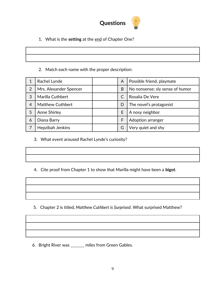

1. What is the **setting** at the end of Chapter One?

|                                                                                                                       | <u> 1989 - Andrea Andrew Maria (h. 1989).</u> |  |
|-----------------------------------------------------------------------------------------------------------------------|-----------------------------------------------|--|
|                                                                                                                       |                                               |  |
| <u> La componenta de la contrada de la contrada de la contrada de la contrada de la contrada de la contrada de la</u> |                                               |  |

2. Match each name with the proper description:

|                | Rachel Lynde            | A | Possible friend, playmate       |
|----------------|-------------------------|---|---------------------------------|
| $\overline{2}$ | Mrs. Alexander Spencer  | B | No nonsense; sly sense of humor |
| 3              | Marilla Cuthbert        |   | Rosalia De Vere                 |
| 4              | <b>Matthew Cuthbert</b> | D | The novel's protagonist         |
| 5              | <b>Anne Shirley</b>     | E | A nosy neighbor                 |
| 6              | Diana Barry             | F | <b>Adoption arranger</b>        |
|                | Hepzibah Jenkins        | G | Very quiet and shy              |

3. What event aroused Rachel Lynde's curiosity?

4. Cite proof from Chapter 1 to show that Marilla might have been a **bigot**.

5. Chapter 2 is titled*, Matthew Cuthbert is Surprised*. What surprised Matthew?

6. Bright River was \_\_\_\_\_\_\_ miles from Green Gables.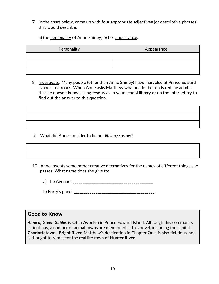7. In the chart below, come up with four appropriate **adjectives** (or descriptive phrases) that would describe:

a) the personality of Anne Shirley; b) her appearance.

| Personality | Appearance |
|-------------|------------|
|             |            |
|             |            |
|             |            |

8. Investigate: Many people (other than Anne Shirley) have marveled at Prince Edward Island's red roads. When Anne asks Matthew what made the roads red, he admits that he doesn't know. Using resources in your school library or on the Internet try to find out the answer to this question.

9. What did Anne consider to be her *lifelong sorrow*?

 10. Anne invents some rather creative alternatives for the names of different things she passes. What name does she give to:

a) The Avenue: \_\_\_\_\_\_\_\_\_\_\_\_\_\_\_\_\_\_\_\_\_\_\_\_\_\_\_\_\_\_\_\_\_\_\_\_\_\_\_\_\_

b) Barry's pond: \_\_\_\_\_\_\_\_\_\_\_\_\_\_\_\_\_\_\_\_\_\_\_\_\_\_\_\_\_\_\_\_\_\_\_\_\_\_\_\_\_

#### **Good to Know**

*Anne of Green Gables* is set in **Avonlea** in Prince Edward Island. Although this community is fictitious, a number of actual towns are mentioned in this novel, including the capital, **Charlottetown**. **Bright River**, Matthew's destination in Chapter One, is also fictitious, and is thought to represent the real life town of **Hunter River**.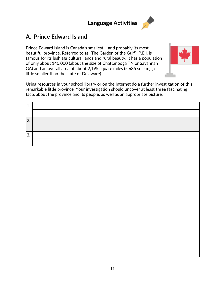## **Language Activities**

## **A***.* **Prince Edward Island**

Prince Edward Island is Canada's smallest – and probably its most beautiful province. Referred to as "The Garden of the Gulf", P.E.I. is famous for its lush agricultural lands and rural beauty. It has a population of only about 140,000 (about the size of Chattanooga TN or Savannah GA) and an overall area of about 2,195 square miles (5,685 sq. km) (a little smaller than the state of Delaware).



Using resources in your school library or on the Internet do a further investigation of this remarkable little province. Your investigation should uncover at least three fascinating facts about the province and its people, as well as an appropriate picture.

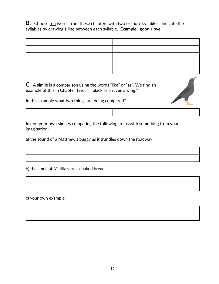**B***.* Choose ten words from these chapters with two or more **syllables**. Indicate the syllables by drawing a line between each syllable. **Example**: **good / bye**.

**C***.* A **simile** is a comparison using the words "like" or "as". We find an example of this in Chapter Two: "… black as a raven's wing."

In this example what two things are being compared?

Invent your own **similes** comparing the following items with something from your imagination:

a) the sound of a Matthew's buggy as it trundles down the roadway

b) the smell of Marilla's fresh-baked bread

c) your own example